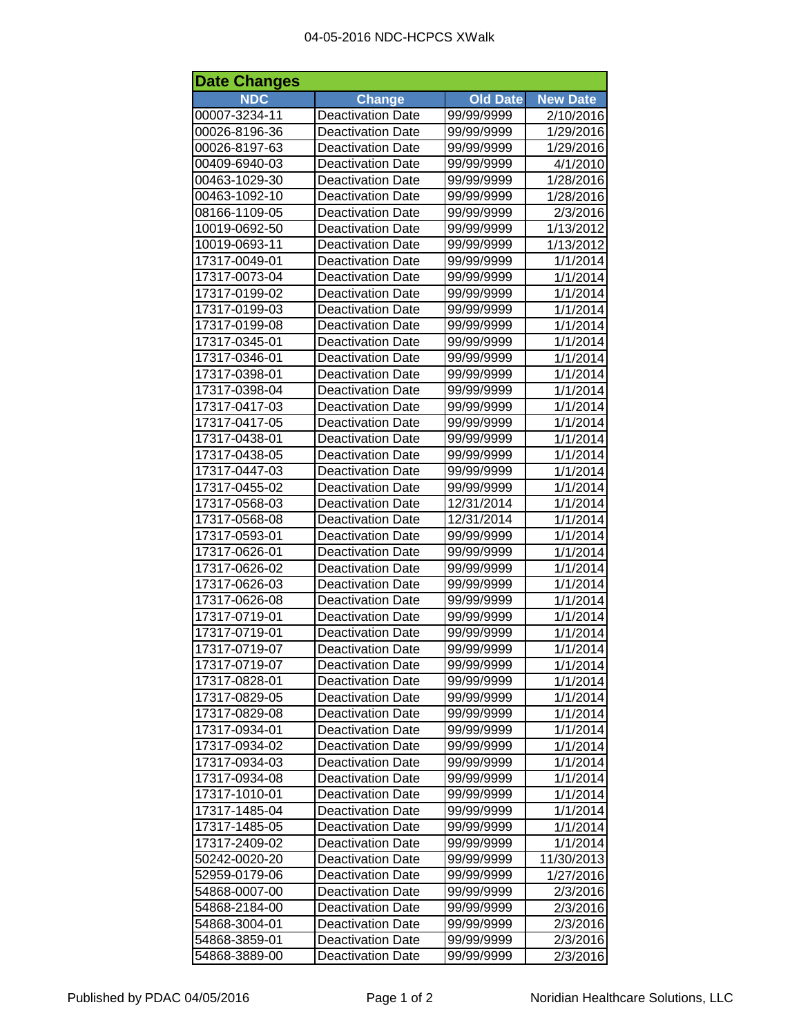| <b>Date Changes</b> |                          |                 |                 |  |
|---------------------|--------------------------|-----------------|-----------------|--|
| <b>NDC</b>          | <b>Change</b>            | <b>Old Date</b> | <b>New Date</b> |  |
| 00007-3234-11       | <b>Deactivation Date</b> | 99/99/9999      | 2/10/2016       |  |
| 00026-8196-36       | <b>Deactivation Date</b> | 99/99/9999      | 1/29/2016       |  |
| 00026-8197-63       | <b>Deactivation Date</b> | 99/99/9999      | 1/29/2016       |  |
| 00409-6940-03       | <b>Deactivation Date</b> | 99/99/9999      | 4/1/2010        |  |
| 00463-1029-30       | <b>Deactivation Date</b> | 99/99/9999      | 1/28/2016       |  |
| 00463-1092-10       | <b>Deactivation Date</b> | 99/99/9999      | 1/28/2016       |  |
| 08166-1109-05       | <b>Deactivation Date</b> | 99/99/9999      | 2/3/2016        |  |
| 10019-0692-50       | <b>Deactivation Date</b> | 99/99/9999      | 1/13/2012       |  |
| 10019-0693-11       | <b>Deactivation Date</b> | 99/99/9999      | 1/13/2012       |  |
| 17317-0049-01       | <b>Deactivation Date</b> | 99/99/9999      | 1/1/2014        |  |
| 17317-0073-04       | <b>Deactivation Date</b> | 99/99/9999      | 1/1/2014        |  |
| 17317-0199-02       | <b>Deactivation Date</b> | 99/99/9999      | 1/1/2014        |  |
| 17317-0199-03       | <b>Deactivation Date</b> | 99/99/9999      | 1/1/2014        |  |
| 17317-0199-08       | <b>Deactivation Date</b> | 99/99/9999      | 1/1/2014        |  |
| 17317-0345-01       | <b>Deactivation Date</b> | 99/99/9999      | 1/1/2014        |  |
| 17317-0346-01       | <b>Deactivation Date</b> | 99/99/9999      | 1/1/2014        |  |
| 17317-0398-01       | <b>Deactivation Date</b> | 99/99/9999      | 1/1/2014        |  |
| 17317-0398-04       | <b>Deactivation Date</b> | 99/99/9999      | 1/1/2014        |  |
| 17317-0417-03       | <b>Deactivation Date</b> | 99/99/9999      | 1/1/2014        |  |
| 17317-0417-05       | <b>Deactivation Date</b> | 99/99/9999      | 1/1/2014        |  |
| 17317-0438-01       | <b>Deactivation Date</b> | 99/99/9999      | 1/1/2014        |  |
| 17317-0438-05       | <b>Deactivation Date</b> | 99/99/9999      | 1/1/2014        |  |
| 17317-0447-03       | <b>Deactivation Date</b> | 99/99/9999      | 1/1/2014        |  |
| 17317-0455-02       | <b>Deactivation Date</b> | 99/99/9999      | 1/1/2014        |  |
| 17317-0568-03       | <b>Deactivation Date</b> | 12/31/2014      | 1/1/2014        |  |
| 17317-0568-08       | <b>Deactivation Date</b> | 12/31/2014      | 1/1/2014        |  |
| 17317-0593-01       | <b>Deactivation Date</b> | 99/99/9999      | 1/1/2014        |  |
| 17317-0626-01       | <b>Deactivation Date</b> | 99/99/9999      | 1/1/2014        |  |
| 17317-0626-02       | <b>Deactivation Date</b> | 99/99/9999      | 1/1/2014        |  |
| 17317-0626-03       | <b>Deactivation Date</b> | 99/99/9999      | 1/1/2014        |  |
| 17317-0626-08       | <b>Deactivation Date</b> | 99/99/9999      | 1/1/2014        |  |
| 17317-0719-01       | <b>Deactivation Date</b> | 99/99/9999      | 1/1/2014        |  |
| 17317-0719-01       | <b>Deactivation Date</b> | 99/99/9999      | 1/1/2014        |  |
| 17317-0719-07       | <b>Deactivation Date</b> | 99/99/9999      | 1/1/2014        |  |
| 17317-0719-07       | <b>Deactivation Date</b> | 99/99/9999      | 1/1/2014        |  |
| 17317-0828-01       | <b>Deactivation Date</b> | 99/99/9999      | 1/1/2014        |  |
| 17317-0829-05       | <b>Deactivation Date</b> | 99/99/9999      | 1/1/2014        |  |
| 17317-0829-08       | <b>Deactivation Date</b> | 99/99/9999      | 1/1/2014        |  |
| 17317-0934-01       | <b>Deactivation Date</b> | 99/99/9999      | 1/1/2014        |  |
| 17317-0934-02       | <b>Deactivation Date</b> | 99/99/9999      | 1/1/2014        |  |
| 17317-0934-03       | <b>Deactivation Date</b> | 99/99/9999      | 1/1/2014        |  |
| 17317-0934-08       | <b>Deactivation Date</b> | 99/99/9999      | 1/1/2014        |  |
| 17317-1010-01       | <b>Deactivation Date</b> | 99/99/9999      | 1/1/2014        |  |
| 17317-1485-04       | <b>Deactivation Date</b> | 99/99/9999      | 1/1/2014        |  |
| 17317-1485-05       | <b>Deactivation Date</b> | 99/99/9999      | 1/1/2014        |  |
| 17317-2409-02       | <b>Deactivation Date</b> | 99/99/9999      | 1/1/2014        |  |
| 50242-0020-20       | <b>Deactivation Date</b> | 99/99/9999      | 11/30/2013      |  |
| 52959-0179-06       | <b>Deactivation Date</b> | 99/99/9999      | 1/27/2016       |  |
| 54868-0007-00       | <b>Deactivation Date</b> | 99/99/9999      | 2/3/2016        |  |
| 54868-2184-00       | <b>Deactivation Date</b> | 99/99/9999      | 2/3/2016        |  |
| 54868-3004-01       | <b>Deactivation Date</b> | 99/99/9999      | 2/3/2016        |  |
| 54868-3859-01       | <b>Deactivation Date</b> | 99/99/9999      | 2/3/2016        |  |
| 54868-3889-00       | <b>Deactivation Date</b> | 99/99/9999      | 2/3/2016        |  |